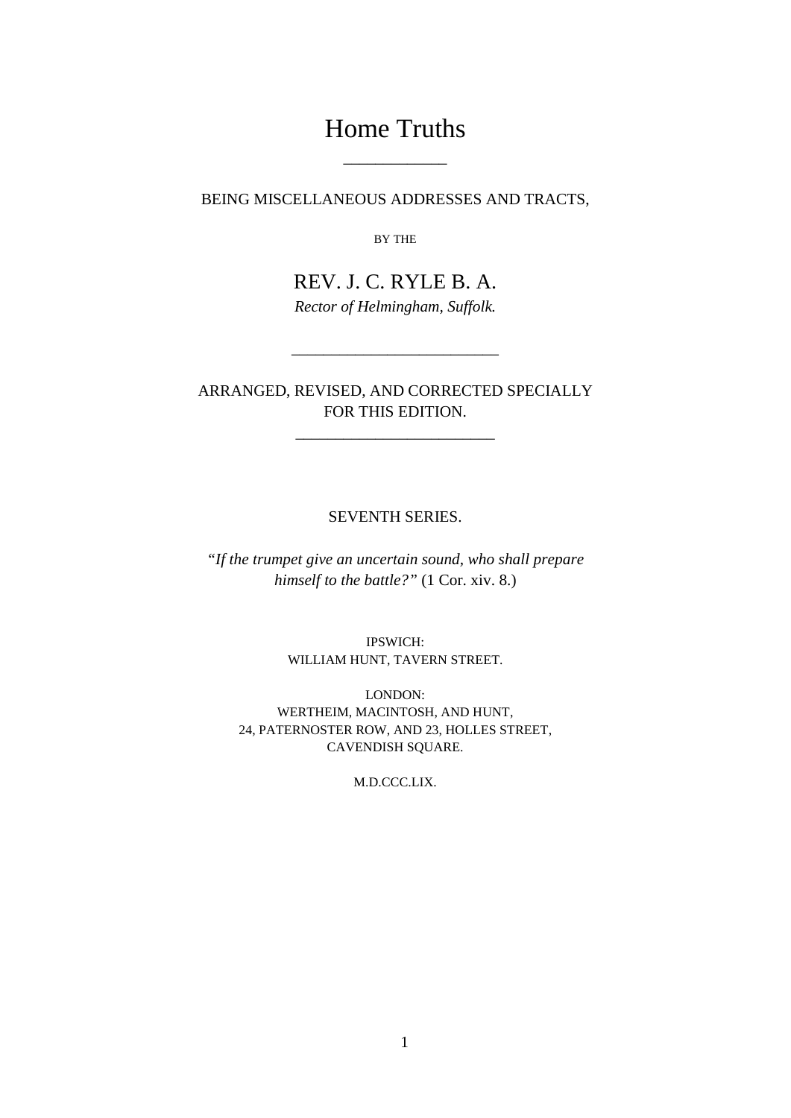# Home Truths

\_\_\_\_\_\_\_\_\_\_\_\_\_

BEING MISCELLANEOUS ADDRESSES AND TRACTS,

BY THE

REV. J. C. RYLE B. A. *Rector of Helmingham, Suffolk.*

ARRANGED, REVISED, AND CORRECTED SPECIALLY FOR THIS EDITION.

\_\_\_\_\_\_\_\_\_\_\_\_\_\_\_\_\_\_\_\_\_\_\_\_\_

\_\_\_\_\_\_\_\_\_\_\_\_\_\_\_\_\_\_\_\_\_\_\_\_\_\_

### SEVENTH SERIES.

*"If the trumpet give an uncertain sound, who shall prepare himself to the battle?"* (1 Cor. xiv. 8.)

> IPSWICH: WILLIAM HUNT, TAVERN STREET.

LONDON: WERTHEIM, MACINTOSH, AND HUNT, 24, PATERNOSTER ROW, AND 23, HOLLES STREET, CAVENDISH SQUARE.

M.D.CCC.LIX.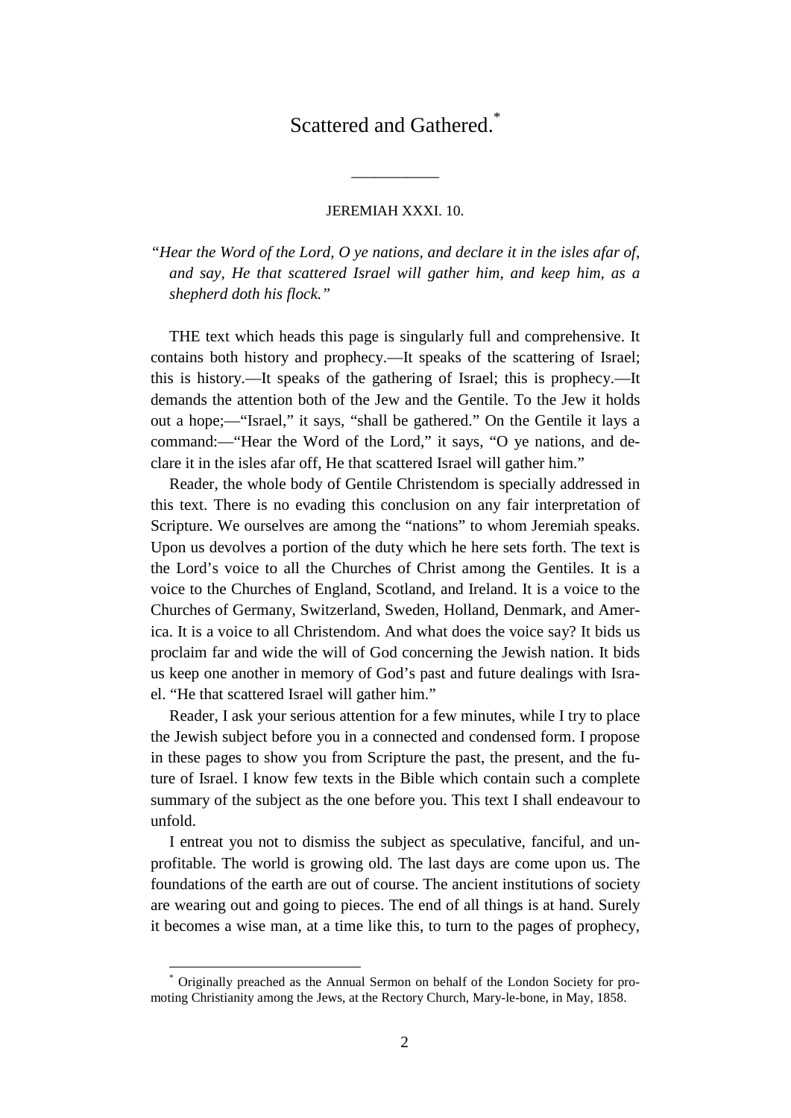## Scattered and Gathered.<sup>[\\*](#page-1-0)</sup>

#### JEREMIAH XXXI. 10.

 $\overline{\phantom{a}}$ 

*"Hear the Word of the Lord, O ye nations, and declare it in the isles afar of, and say, He that scattered Israel will gather him, and keep him, as a shepherd doth his flock."*

THE text which heads this page is singularly full and comprehensive. It contains both history and prophecy.—It speaks of the scattering of Israel; this is history.—It speaks of the gathering of Israel; this is prophecy.—It demands the attention both of the Jew and the Gentile. To the Jew it holds out a hope;—"Israel," it says, "shall be gathered." On the Gentile it lays a command:—"Hear the Word of the Lord," it says, "O ye nations, and declare it in the isles afar off, He that scattered Israel will gather him."

Reader, the whole body of Gentile Christendom is specially addressed in this text. There is no evading this conclusion on any fair interpretation of Scripture. We ourselves are among the "nations" to whom Jeremiah speaks. Upon us devolves a portion of the duty which he here sets forth. The text is the Lord's voice to all the Churches of Christ among the Gentiles. It is a voice to the Churches of England, Scotland, and Ireland. It is a voice to the Churches of Germany, Switzerland, Sweden, Holland, Denmark, and America. It is a voice to all Christendom. And what does the voice say? It bids us proclaim far and wide the will of God concerning the Jewish nation. It bids us keep one another in memory of God's past and future dealings with Israel. "He that scattered Israel will gather him."

Reader, I ask your serious attention for a few minutes, while I try to place the Jewish subject before you in a connected and condensed form. I propose in these pages to show you from Scripture the past, the present, and the future of Israel. I know few texts in the Bible which contain such a complete summary of the subject as the one before you. This text I shall endeavour to unfold.

I entreat you not to dismiss the subject as speculative, fanciful, and unprofitable. The world is growing old. The last days are come upon us. The foundations of the earth are out of course. The ancient institutions of society are wearing out and going to pieces. The end of all things is at hand. Surely it becomes a wise man, at a time like this, to turn to the pages of prophecy,

<span id="page-1-0"></span>Originally preached as the Annual Sermon on behalf of the London Society for promoting Christianity among the Jews, at the Rectory Church, Mary-le-bone, in May, 1858.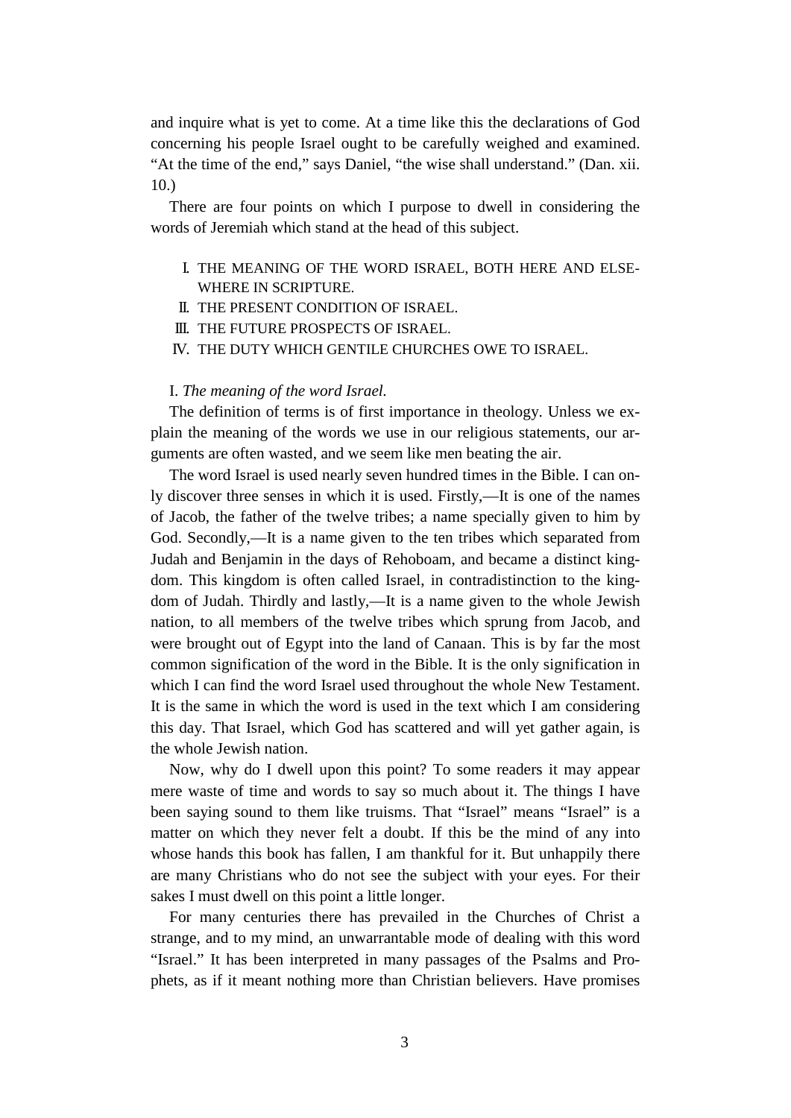and inquire what is yet to come. At a time like this the declarations of God concerning his people Israel ought to be carefully weighed and examined. "At the time of the end," says Daniel, "the wise shall understand." (Dan. xii. 10.)

There are four points on which I purpose to dwell in considering the words of Jeremiah which stand at the head of this subject.

- I. THE MEANING OF THE WORD ISRAEL, BOTH HERE AND ELSE-WHERE IN SCRIPTURE.
- II. THE PRESENT CONDITION OF ISRAEL.
- III. THE FUTURE PROSPECTS OF ISRAEL.
- IV. THE DUTY WHICH GENTILE CHURCHES OWE TO ISRAEL.

### I. *The meaning of the word Israel.*

The definition of terms is of first importance in theology. Unless we explain the meaning of the words we use in our religious statements, our arguments are often wasted, and we seem like men beating the air.

The word Israel is used nearly seven hundred times in the Bible. I can only discover three senses in which it is used. Firstly,—It is one of the names of Jacob, the father of the twelve tribes; a name specially given to him by God. Secondly,—It is a name given to the ten tribes which separated from Judah and Benjamin in the days of Rehoboam, and became a distinct kingdom. This kingdom is often called Israel, in contradistinction to the kingdom of Judah. Thirdly and lastly,—It is a name given to the whole Jewish nation, to all members of the twelve tribes which sprung from Jacob, and were brought out of Egypt into the land of Canaan. This is by far the most common signification of the word in the Bible. It is the only signification in which I can find the word Israel used throughout the whole New Testament. It is the same in which the word is used in the text which I am considering this day. That Israel, which God has scattered and will yet gather again, is the whole Jewish nation.

Now, why do I dwell upon this point? To some readers it may appear mere waste of time and words to say so much about it. The things I have been saying sound to them like truisms. That "Israel" means "Israel" is a matter on which they never felt a doubt. If this be the mind of any into whose hands this book has fallen, I am thankful for it. But unhappily there are many Christians who do not see the subject with your eyes. For their sakes I must dwell on this point a little longer.

For many centuries there has prevailed in the Churches of Christ a strange, and to my mind, an unwarrantable mode of dealing with this word "Israel." It has been interpreted in many passages of the Psalms and Prophets, as if it meant nothing more than Christian believers. Have promises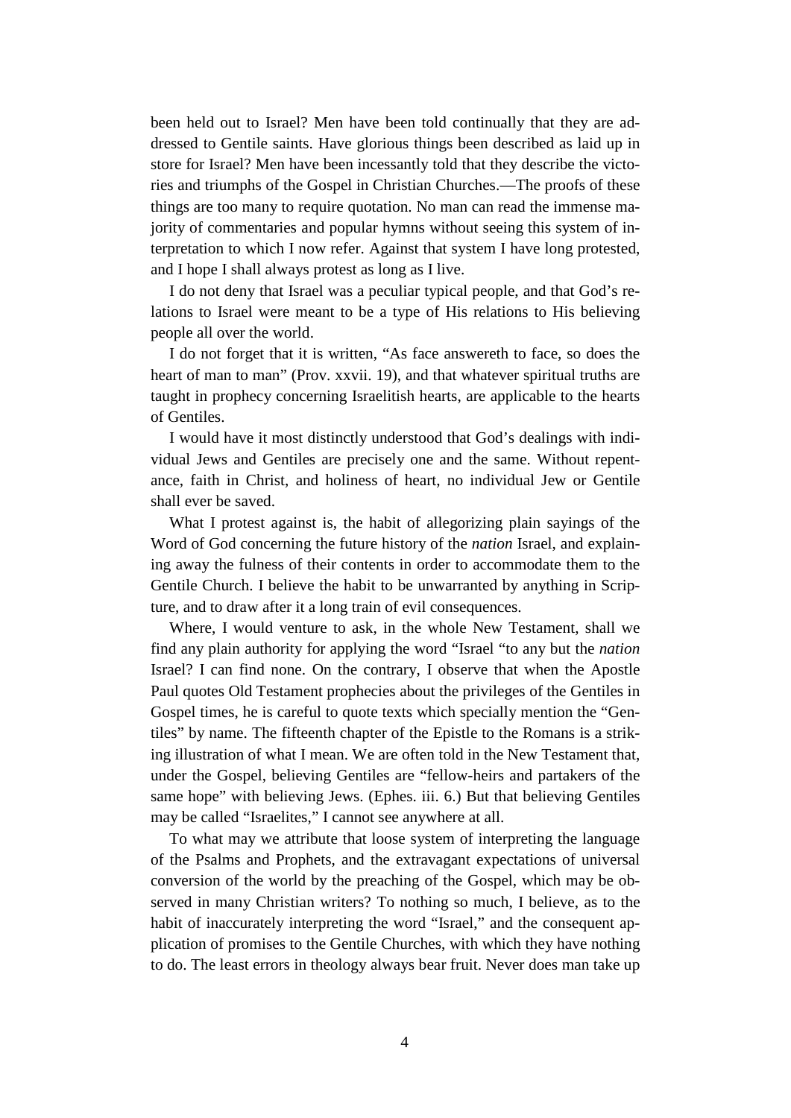been held out to Israel? Men have been told continually that they are addressed to Gentile saints. Have glorious things been described as laid up in store for Israel? Men have been incessantly told that they describe the victories and triumphs of the Gospel in Christian Churches.—The proofs of these things are too many to require quotation. No man can read the immense majority of commentaries and popular hymns without seeing this system of interpretation to which I now refer. Against that system I have long protested, and I hope I shall always protest as long as I live.

I do not deny that Israel was a peculiar typical people, and that God's relations to Israel were meant to be a type of His relations to His believing people all over the world.

I do not forget that it is written, "As face answereth to face, so does the heart of man to man" (Prov. xxvii. 19), and that whatever spiritual truths are taught in prophecy concerning Israelitish hearts, are applicable to the hearts of Gentiles.

I would have it most distinctly understood that God's dealings with individual Jews and Gentiles are precisely one and the same. Without repentance, faith in Christ, and holiness of heart, no individual Jew or Gentile shall ever be saved.

What I protest against is, the habit of allegorizing plain sayings of the Word of God concerning the future history of the *nation* Israel, and explaining away the fulness of their contents in order to accommodate them to the Gentile Church. I believe the habit to be unwarranted by anything in Scripture, and to draw after it a long train of evil consequences.

Where, I would venture to ask, in the whole New Testament, shall we find any plain authority for applying the word "Israel "to any but the *nation* Israel? I can find none. On the contrary, I observe that when the Apostle Paul quotes Old Testament prophecies about the privileges of the Gentiles in Gospel times, he is careful to quote texts which specially mention the "Gentiles" by name. The fifteenth chapter of the Epistle to the Romans is a striking illustration of what I mean. We are often told in the New Testament that, under the Gospel, believing Gentiles are "fellow-heirs and partakers of the same hope" with believing Jews. (Ephes. iii. 6.) But that believing Gentiles may be called "Israelites," I cannot see anywhere at all.

To what may we attribute that loose system of interpreting the language of the Psalms and Prophets, and the extravagant expectations of universal conversion of the world by the preaching of the Gospel, which may be observed in many Christian writers? To nothing so much, I believe, as to the habit of inaccurately interpreting the word "Israel," and the consequent application of promises to the Gentile Churches, with which they have nothing to do. The least errors in theology always bear fruit. Never does man take up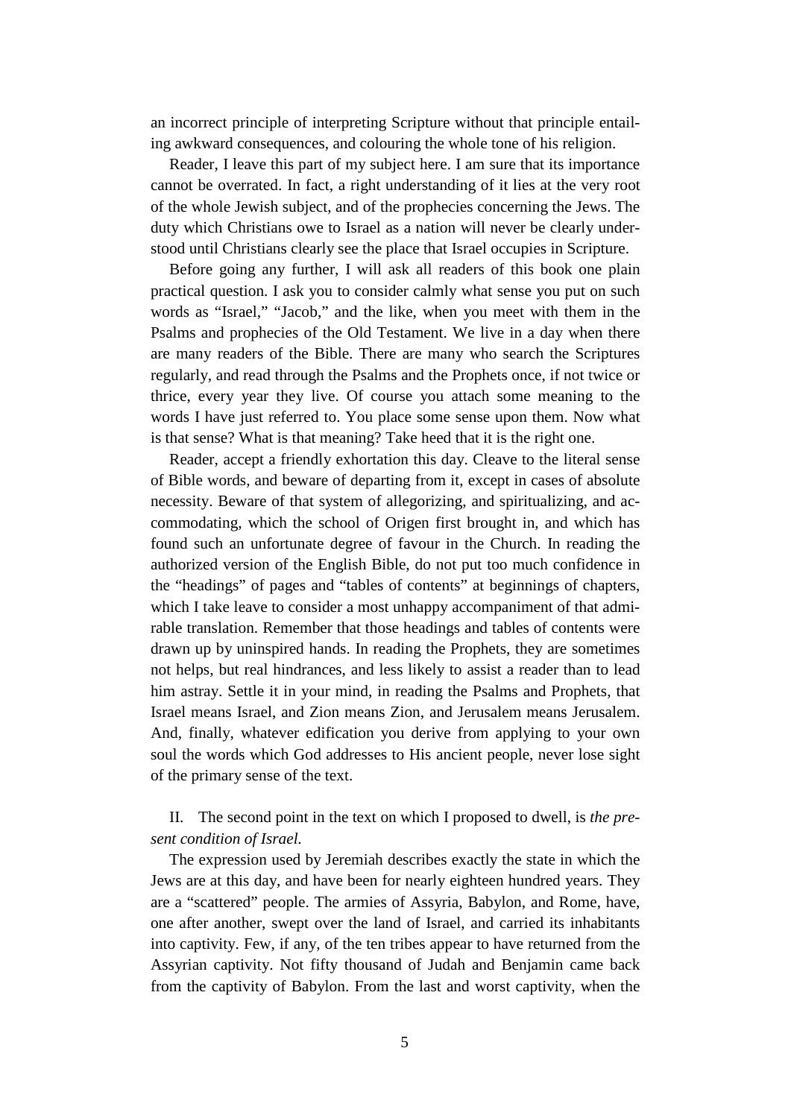an incorrect principle of interpreting Scripture without that principle entailing awkward consequences, and colouring the whole tone of his religion.

Reader, I leave this part of my subject here. I am sure that its importance cannot be overrated. In fact, a right understanding of it lies at the very root of the whole Jewish subject, and of the prophecies concerning the Jews. The duty which Christians owe to Israel as a nation will never be clearly understood until Christians clearly see the place that Israel occupies in Scripture.

Before going any further, I will ask all readers of this book one plain practical question. I ask you to consider calmly what sense you put on such words as "Israel," "Jacob," and the like, when you meet with them in the Psalms and prophecies of the Old Testament. We live in a day when there are many readers of the Bible. There are many who search the Scriptures regularly, and read through the Psalms and the Prophets once, if not twice or thrice, every year they live. Of course you attach some meaning to the words I have just referred to. You place some sense upon them. Now what is that sense? What is that meaning? Take heed that it is the right one.

Reader, accept a friendly exhortation this day. Cleave to the literal sense of Bible words, and beware of departing from it, except in cases of absolute necessity. Beware of that system of allegorizing, and spiritualizing, and accommodating, which the school of Origen first brought in, and which has found such an unfortunate degree of favour in the Church. In reading the authorized version of the English Bible, do not put too much confidence in the "headings" of pages and "tables of contents" at beginnings of chapters, which I take leave to consider a most unhappy accompaniment of that admirable translation. Remember that those headings and tables of contents were drawn up by uninspired hands. In reading the Prophets, they are sometimes not helps, but real hindrances, and less likely to assist a reader than to lead him astray. Settle it in your mind, in reading the Psalms and Prophets, that Israel means Israel, and Zion means Zion, and Jerusalem means Jerusalem. And, finally, whatever edification you derive from applying to your own soul the words which God addresses to His ancient people, never lose sight of the primary sense of the text.

II. The second point in the text on which I proposed to dwell, is *the present condition of Israel.*

The expression used by Jeremiah describes exactly the state in which the Jews are at this day, and have been for nearly eighteen hundred years. They are a "scattered" people. The armies of Assyria, Babylon, and Rome, have, one after another, swept over the land of Israel, and carried its inhabitants into captivity. Few, if any, of the ten tribes appear to have returned from the Assyrian captivity. Not fifty thousand of Judah and Benjamin came back from the captivity of Babylon. From the last and worst captivity, when the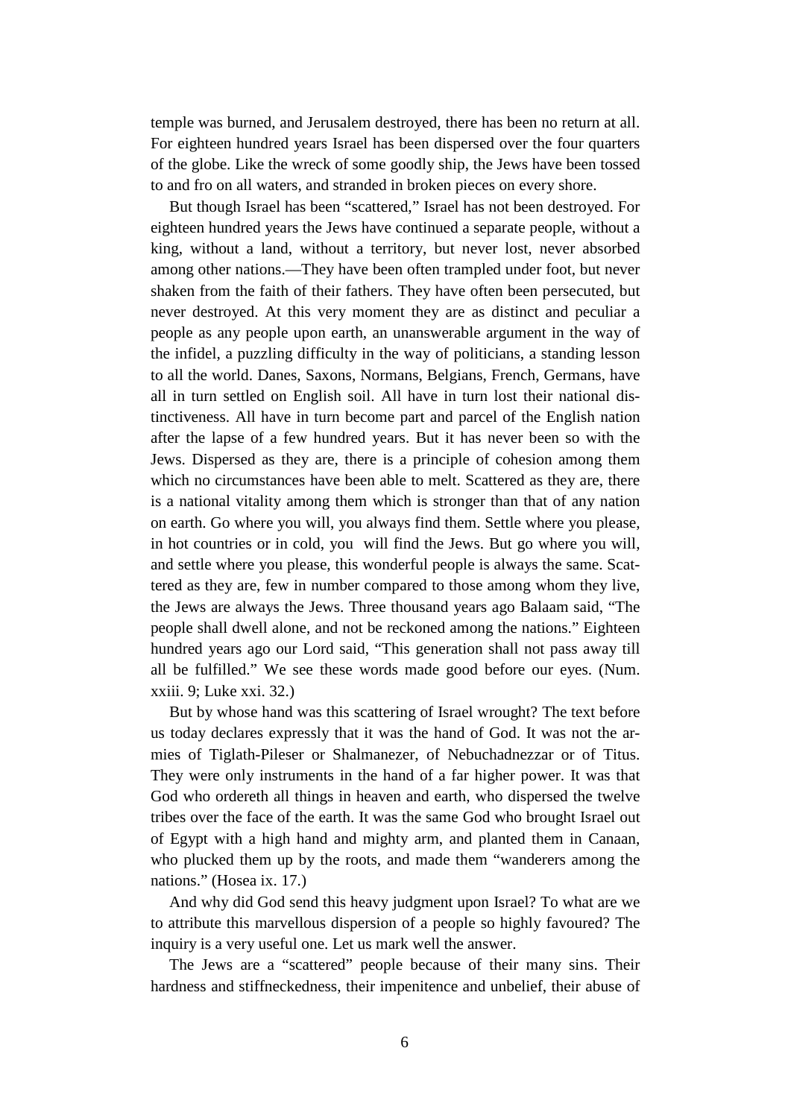temple was burned, and Jerusalem destroyed, there has been no return at all. For eighteen hundred years Israel has been dispersed over the four quarters of the globe. Like the wreck of some goodly ship, the Jews have been tossed to and fro on all waters, and stranded in broken pieces on every shore.

But though Israel has been "scattered," Israel has not been destroyed. For eighteen hundred years the Jews have continued a separate people, without a king, without a land, without a territory, but never lost, never absorbed among other nations.—They have been often trampled under foot, but never shaken from the faith of their fathers. They have often been persecuted, but never destroyed. At this very moment they are as distinct and peculiar a people as any people upon earth, an unanswerable argument in the way of the infidel, a puzzling difficulty in the way of politicians, a standing lesson to all the world. Danes, Saxons, Normans, Belgians, French, Germans, have all in turn settled on English soil. All have in turn lost their national distinctiveness. All have in turn become part and parcel of the English nation after the lapse of a few hundred years. But it has never been so with the Jews. Dispersed as they are, there is a principle of cohesion among them which no circumstances have been able to melt. Scattered as they are, there is a national vitality among them which is stronger than that of any nation on earth. Go where you will, you always find them. Settle where you please, in hot countries or in cold, you will find the Jews. But go where you will, and settle where you please, this wonderful people is always the same. Scattered as they are, few in number compared to those among whom they live, the Jews are always the Jews. Three thousand years ago Balaam said, "The people shall dwell alone, and not be reckoned among the nations." Eighteen hundred years ago our Lord said, "This generation shall not pass away till all be fulfilled." We see these words made good before our eyes. (Num. xxiii. 9; Luke xxi. 32.)

But by whose hand was this scattering of Israel wrought? The text before us today declares expressly that it was the hand of God. It was not the armies of Tiglath-Pileser or Shalmanezer, of Nebuchadnezzar or of Titus. They were only instruments in the hand of a far higher power. It was that God who ordereth all things in heaven and earth, who dispersed the twelve tribes over the face of the earth. It was the same God who brought Israel out of Egypt with a high hand and mighty arm, and planted them in Canaan, who plucked them up by the roots, and made them "wanderers among the nations." (Hosea ix. 17.)

And why did God send this heavy judgment upon Israel? To what are we to attribute this marvellous dispersion of a people so highly favoured? The inquiry is a very useful one. Let us mark well the answer.

The Jews are a "scattered" people because of their many sins. Their hardness and stiffneckedness, their impenitence and unbelief, their abuse of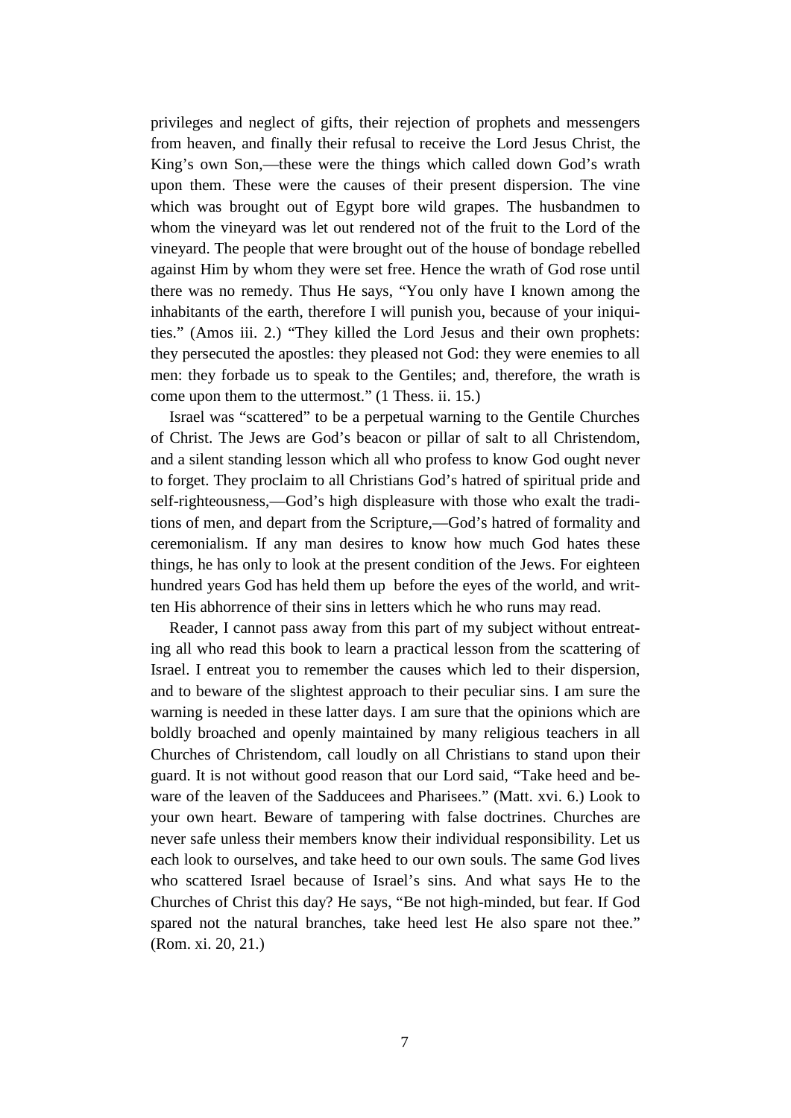privileges and neglect of gifts, their rejection of prophets and messengers from heaven, and finally their refusal to receive the Lord Jesus Christ, the King's own Son,—these were the things which called down God's wrath upon them. These were the causes of their present dispersion. The vine which was brought out of Egypt bore wild grapes. The husbandmen to whom the vineyard was let out rendered not of the fruit to the Lord of the vineyard. The people that were brought out of the house of bondage rebelled against Him by whom they were set free. Hence the wrath of God rose until there was no remedy. Thus He says, "You only have I known among the inhabitants of the earth, therefore I will punish you, because of your iniquities." (Amos iii. 2.) "They killed the Lord Jesus and their own prophets: they persecuted the apostles: they pleased not God: they were enemies to all men: they forbade us to speak to the Gentiles; and, therefore, the wrath is come upon them to the uttermost." (1 Thess. ii. 15.)

Israel was "scattered" to be a perpetual warning to the Gentile Churches of Christ. The Jews are God's beacon or pillar of salt to all Christendom, and a silent standing lesson which all who profess to know God ought never to forget. They proclaim to all Christians God's hatred of spiritual pride and self-righteousness,—God's high displeasure with those who exalt the traditions of men, and depart from the Scripture,—God's hatred of formality and ceremonialism. If any man desires to know how much God hates these things, he has only to look at the present condition of the Jews. For eighteen hundred years God has held them up before the eyes of the world, and written His abhorrence of their sins in letters which he who runs may read.

Reader, I cannot pass away from this part of my subject without entreating all who read this book to learn a practical lesson from the scattering of Israel. I entreat you to remember the causes which led to their dispersion, and to beware of the slightest approach to their peculiar sins. I am sure the warning is needed in these latter days. I am sure that the opinions which are boldly broached and openly maintained by many religious teachers in all Churches of Christendom, call loudly on all Christians to stand upon their guard. It is not without good reason that our Lord said, "Take heed and beware of the leaven of the Sadducees and Pharisees." (Matt. xvi. 6.) Look to your own heart. Beware of tampering with false doctrines. Churches are never safe unless their members know their individual responsibility. Let us each look to ourselves, and take heed to our own souls. The same God lives who scattered Israel because of Israel's sins. And what says He to the Churches of Christ this day? He says, "Be not high-minded, but fear. If God spared not the natural branches, take heed lest He also spare not thee." (Rom. xi. 20, 21.)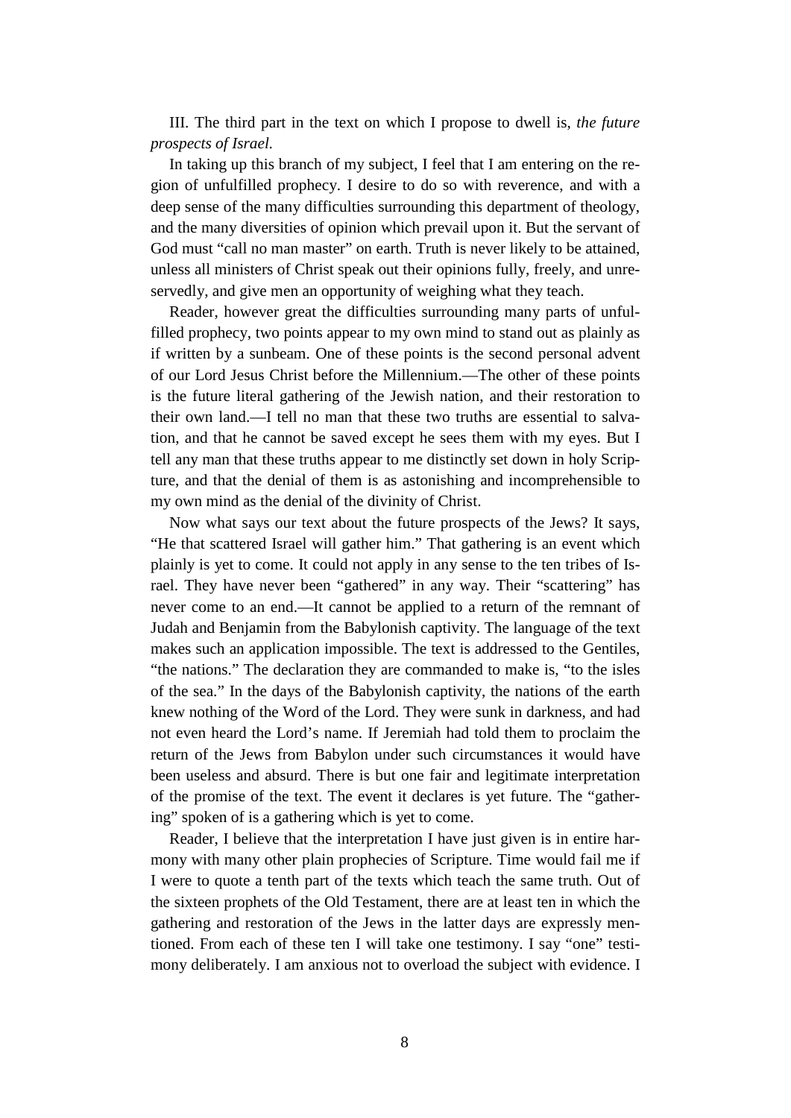III. The third part in the text on which I propose to dwell is, *the future prospects of Israel.*

In taking up this branch of my subject, I feel that I am entering on the region of unfulfilled prophecy. I desire to do so with reverence, and with a deep sense of the many difficulties surrounding this department of theology, and the many diversities of opinion which prevail upon it. But the servant of God must "call no man master" on earth. Truth is never likely to be attained, unless all ministers of Christ speak out their opinions fully, freely, and unreservedly, and give men an opportunity of weighing what they teach.

Reader, however great the difficulties surrounding many parts of unfulfilled prophecy, two points appear to my own mind to stand out as plainly as if written by a sunbeam. One of these points is the second personal advent of our Lord Jesus Christ before the Millennium.—The other of these points is the future literal gathering of the Jewish nation, and their restoration to their own land.—I tell no man that these two truths are essential to salvation, and that he cannot be saved except he sees them with my eyes. But I tell any man that these truths appear to me distinctly set down in holy Scripture, and that the denial of them is as astonishing and incomprehensible to my own mind as the denial of the divinity of Christ.

Now what says our text about the future prospects of the Jews? It says, "He that scattered Israel will gather him." That gathering is an event which plainly is yet to come. It could not apply in any sense to the ten tribes of Israel. They have never been "gathered" in any way. Their "scattering" has never come to an end.—It cannot be applied to a return of the remnant of Judah and Benjamin from the Babylonish captivity. The language of the text makes such an application impossible. The text is addressed to the Gentiles, "the nations." The declaration they are commanded to make is, "to the isles of the sea." In the days of the Babylonish captivity, the nations of the earth knew nothing of the Word of the Lord. They were sunk in darkness, and had not even heard the Lord's name. If Jeremiah had told them to proclaim the return of the Jews from Babylon under such circumstances it would have been useless and absurd. There is but one fair and legitimate interpretation of the promise of the text. The event it declares is yet future. The "gathering" spoken of is a gathering which is yet to come.

Reader, I believe that the interpretation I have just given is in entire harmony with many other plain prophecies of Scripture. Time would fail me if I were to quote a tenth part of the texts which teach the same truth. Out of the sixteen prophets of the Old Testament, there are at least ten in which the gathering and restoration of the Jews in the latter days are expressly mentioned. From each of these ten I will take one testimony. I say "one" testimony deliberately. I am anxious not to overload the subject with evidence. I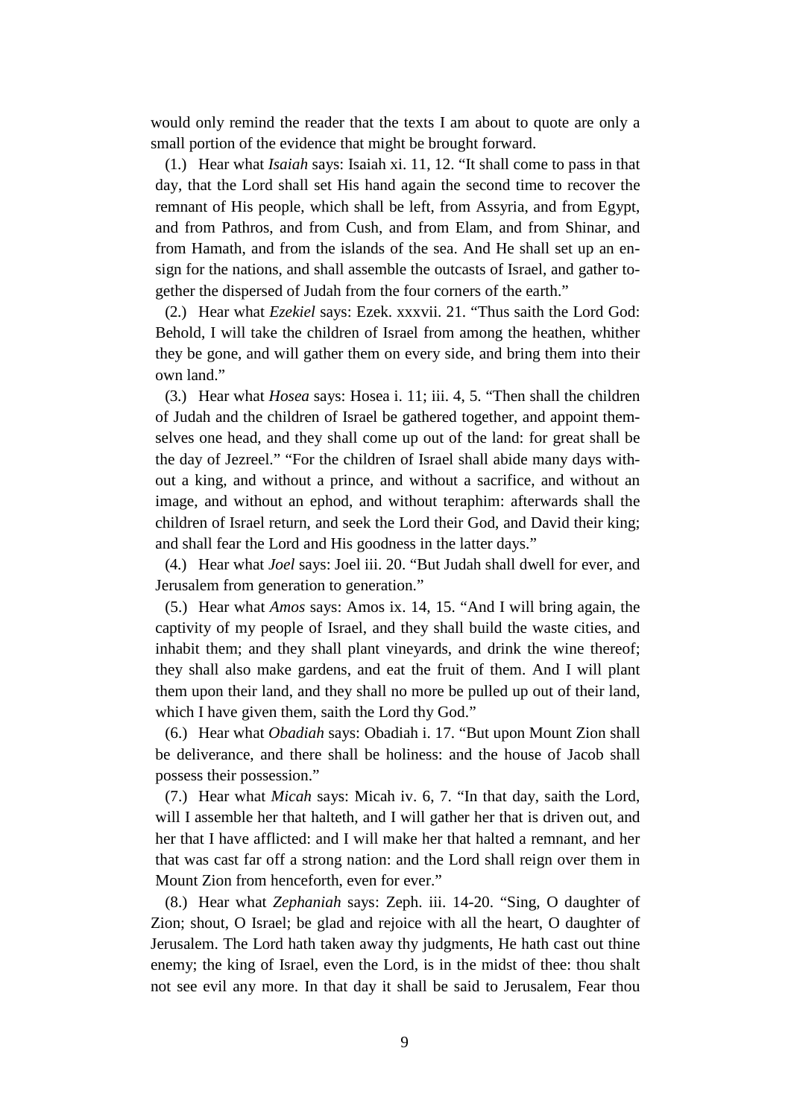would only remind the reader that the texts I am about to quote are only a small portion of the evidence that might be brought forward.

(1.) Hear what *Isaiah* says: Isaiah xi. 11, 12. "It shall come to pass in that day, that the Lord shall set His hand again the second time to recover the remnant of His people, which shall be left, from Assyria, and from Egypt, and from Pathros, and from Cush, and from Elam, and from Shinar, and from Hamath, and from the islands of the sea. And He shall set up an ensign for the nations, and shall assemble the outcasts of Israel, and gather together the dispersed of Judah from the four corners of the earth."

(2.) Hear what *Ezekiel* says: Ezek. xxxvii. 21. "Thus saith the Lord God: Behold, I will take the children of Israel from among the heathen, whither they be gone, and will gather them on every side, and bring them into their own land."

(3.) Hear what *Hosea* says: Hosea i. 11; iii. 4, 5. "Then shall the children of Judah and the children of Israel be gathered together, and appoint themselves one head, and they shall come up out of the land: for great shall be the day of Jezreel." "For the children of Israel shall abide many days without a king, and without a prince, and without a sacrifice, and without an image, and without an ephod, and without teraphim: afterwards shall the children of Israel return, and seek the Lord their God, and David their king; and shall fear the Lord and His goodness in the latter days."

(4.) Hear what *Joel* says: Joel iii. 20. "But Judah shall dwell for ever, and Jerusalem from generation to generation."

(5.) Hear what *Amos* says: Amos ix. 14, 15. "And I will bring again, the captivity of my people of Israel, and they shall build the waste cities, and inhabit them; and they shall plant vineyards, and drink the wine thereof; they shall also make gardens, and eat the fruit of them. And I will plant them upon their land, and they shall no more be pulled up out of their land, which I have given them, saith the Lord thy God."

(6.) Hear what *Obadiah* says: Obadiah i. 17. "But upon Mount Zion shall be deliverance, and there shall be holiness: and the house of Jacob shall possess their possession."

(7.) Hear what *Micah* says: Micah iv. 6, 7. "In that day, saith the Lord, will I assemble her that halteth, and I will gather her that is driven out, and her that I have afflicted: and I will make her that halted a remnant, and her that was cast far off a strong nation: and the Lord shall reign over them in Mount Zion from henceforth, even for ever."

(8.) Hear what *Zephaniah* says: Zeph. iii. 14-20. "Sing, O daughter of Zion; shout, O Israel; be glad and rejoice with all the heart, O daughter of Jerusalem. The Lord hath taken away thy judgments, He hath cast out thine enemy; the king of Israel, even the Lord, is in the midst of thee: thou shalt not see evil any more. In that day it shall be said to Jerusalem, Fear thou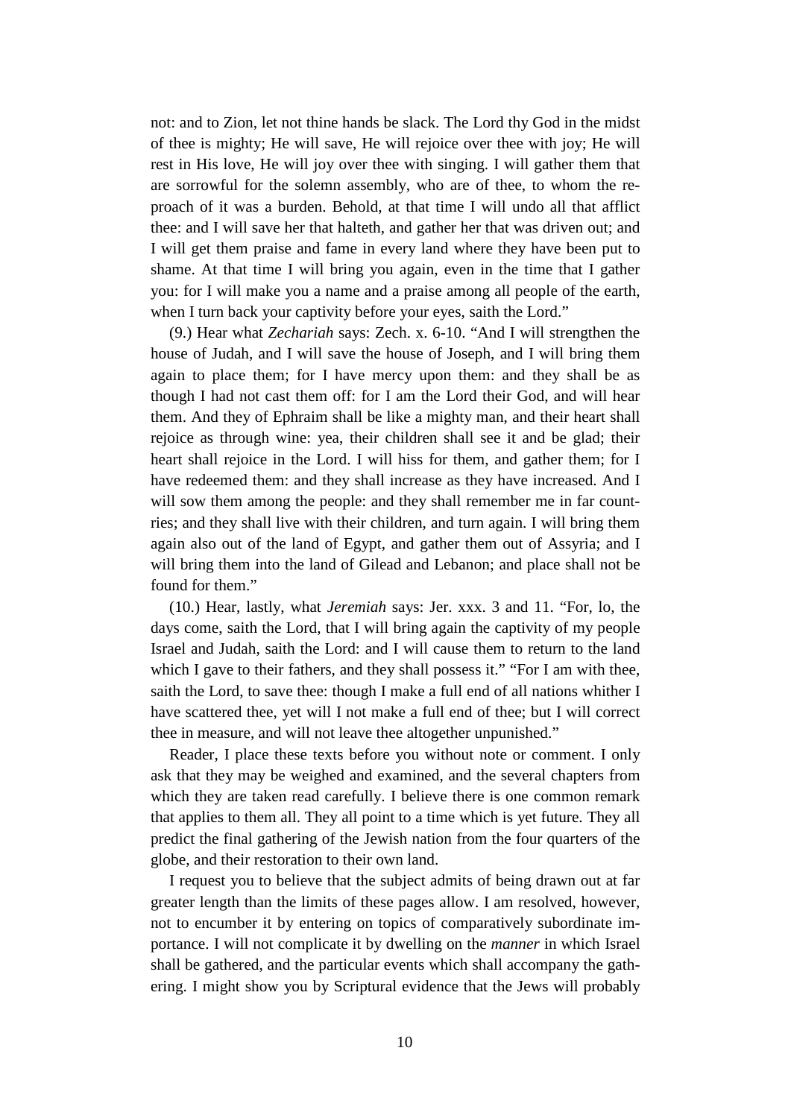not: and to Zion, let not thine hands be slack. The Lord thy God in the midst of thee is mighty; He will save, He will rejoice over thee with joy; He will rest in His love, He will joy over thee with singing. I will gather them that are sorrowful for the solemn assembly, who are of thee, to whom the reproach of it was a burden. Behold, at that time I will undo all that afflict thee: and I will save her that halteth, and gather her that was driven out; and I will get them praise and fame in every land where they have been put to shame. At that time I will bring you again, even in the time that I gather you: for I will make you a name and a praise among all people of the earth, when I turn back your captivity before your eyes, saith the Lord."

(9.) Hear what *Zechariah* says: Zech. x. 6-10. "And I will strengthen the house of Judah, and I will save the house of Joseph, and I will bring them again to place them; for I have mercy upon them: and they shall be as though I had not cast them off: for I am the Lord their God, and will hear them. And they of Ephraim shall be like a mighty man, and their heart shall rejoice as through wine: yea, their children shall see it and be glad; their heart shall rejoice in the Lord. I will hiss for them, and gather them; for I have redeemed them: and they shall increase as they have increased. And I will sow them among the people: and they shall remember me in far countries; and they shall live with their children, and turn again. I will bring them again also out of the land of Egypt, and gather them out of Assyria; and I will bring them into the land of Gilead and Lebanon; and place shall not be found for them."

(10.) Hear, lastly, what *Jeremiah* says: Jer. xxx. 3 and 11. "For, lo, the days come, saith the Lord, that I will bring again the captivity of my people Israel and Judah, saith the Lord: and I will cause them to return to the land which I gave to their fathers, and they shall possess it." "For I am with thee, saith the Lord, to save thee: though I make a full end of all nations whither I have scattered thee, yet will I not make a full end of thee; but I will correct thee in measure, and will not leave thee altogether unpunished."

Reader, I place these texts before you without note or comment. I only ask that they may be weighed and examined, and the several chapters from which they are taken read carefully. I believe there is one common remark that applies to them all. They all point to a time which is yet future. They all predict the final gathering of the Jewish nation from the four quarters of the globe, and their restoration to their own land.

I request you to believe that the subject admits of being drawn out at far greater length than the limits of these pages allow. I am resolved, however, not to encumber it by entering on topics of comparatively subordinate importance. I will not complicate it by dwelling on the *manner* in which Israel shall be gathered, and the particular events which shall accompany the gathering. I might show you by Scriptural evidence that the Jews will probably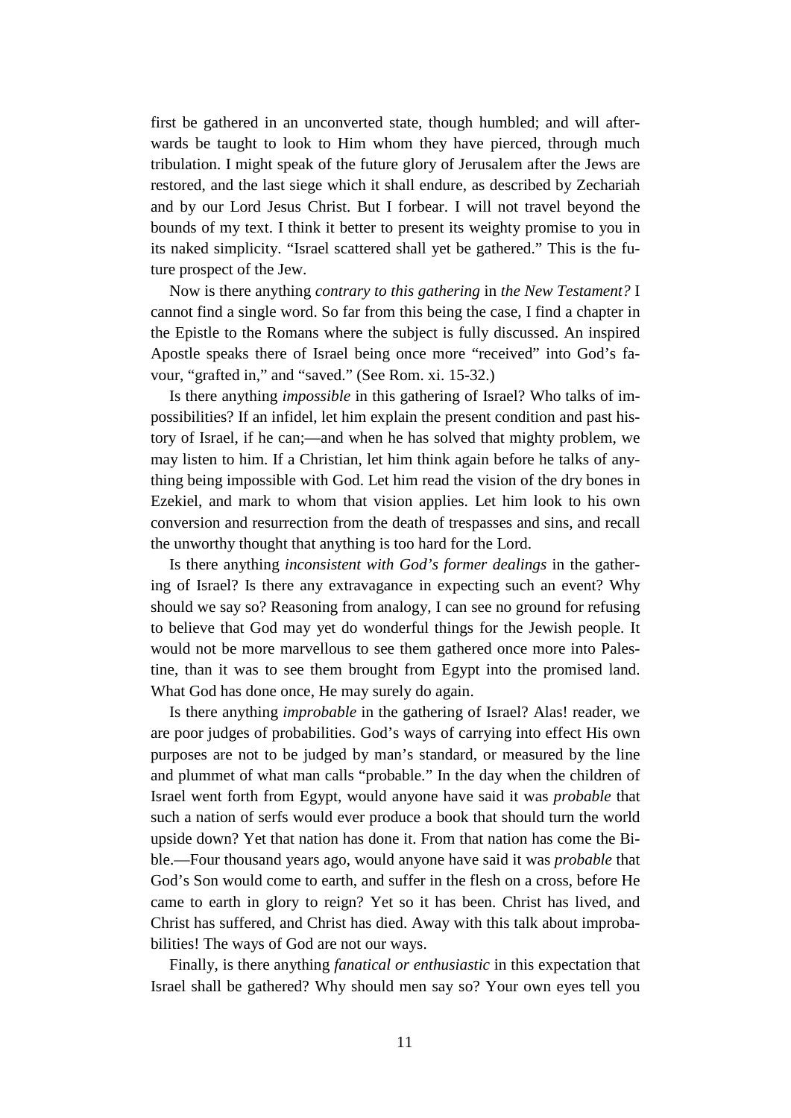first be gathered in an unconverted state, though humbled; and will afterwards be taught to look to Him whom they have pierced, through much tribulation. I might speak of the future glory of Jerusalem after the Jews are restored, and the last siege which it shall endure, as described by Zechariah and by our Lord Jesus Christ. But I forbear. I will not travel beyond the bounds of my text. I think it better to present its weighty promise to you in its naked simplicity. "Israel scattered shall yet be gathered." This is the future prospect of the Jew.

Now is there anything *contrary to this gathering* in *the New Testament?* I cannot find a single word. So far from this being the case, I find a chapter in the Epistle to the Romans where the subject is fully discussed. An inspired Apostle speaks there of Israel being once more "received" into God's favour, "grafted in," and "saved." (See Rom. xi. 15-32.)

Is there anything *impossible* in this gathering of Israel? Who talks of impossibilities? If an infidel, let him explain the present condition and past history of Israel, if he can;—and when he has solved that mighty problem, we may listen to him. If a Christian, let him think again before he talks of anything being impossible with God. Let him read the vision of the dry bones in Ezekiel, and mark to whom that vision applies. Let him look to his own conversion and resurrection from the death of trespasses and sins, and recall the unworthy thought that anything is too hard for the Lord.

Is there anything *inconsistent with God's former dealings* in the gathering of Israel? Is there any extravagance in expecting such an event? Why should we say so? Reasoning from analogy, I can see no ground for refusing to believe that God may yet do wonderful things for the Jewish people. It would not be more marvellous to see them gathered once more into Palestine, than it was to see them brought from Egypt into the promised land. What God has done once, He may surely do again.

Is there anything *improbable* in the gathering of Israel? Alas! reader, we are poor judges of probabilities. God's ways of carrying into effect His own purposes are not to be judged by man's standard, or measured by the line and plummet of what man calls "probable." In the day when the children of Israel went forth from Egypt, would anyone have said it was *probable* that such a nation of serfs would ever produce a book that should turn the world upside down? Yet that nation has done it. From that nation has come the Bible.—Four thousand years ago, would anyone have said it was *probable* that God's Son would come to earth, and suffer in the flesh on a cross, before He came to earth in glory to reign? Yet so it has been. Christ has lived, and Christ has suffered, and Christ has died. Away with this talk about improbabilities! The ways of God are not our ways.

Finally, is there anything *fanatical or enthusiastic* in this expectation that Israel shall be gathered? Why should men say so? Your own eyes tell you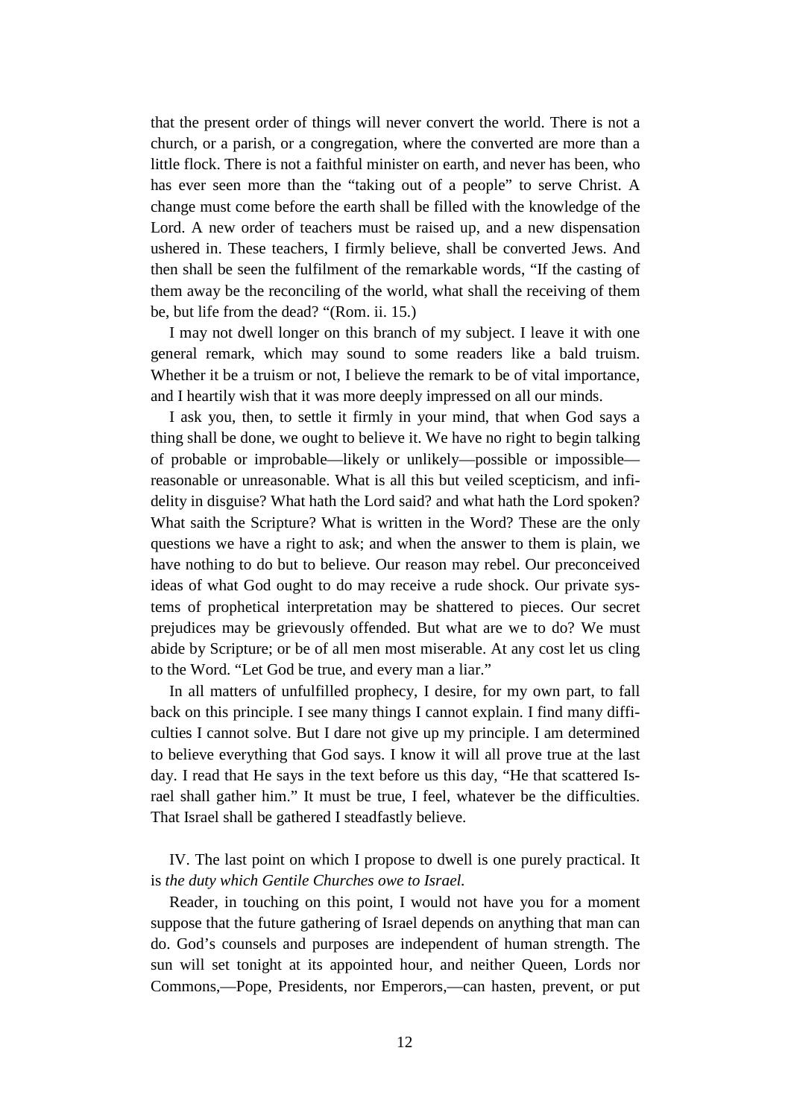that the present order of things will never convert the world. There is not a church, or a parish, or a congregation, where the converted are more than a little flock. There is not a faithful minister on earth, and never has been, who has ever seen more than the "taking out of a people" to serve Christ. A change must come before the earth shall be filled with the knowledge of the Lord. A new order of teachers must be raised up, and a new dispensation ushered in. These teachers, I firmly believe, shall be converted Jews. And then shall be seen the fulfilment of the remarkable words, "If the casting of them away be the reconciling of the world, what shall the receiving of them be, but life from the dead? "(Rom. ii. 15.)

I may not dwell longer on this branch of my subject. I leave it with one general remark, which may sound to some readers like a bald truism. Whether it be a truism or not, I believe the remark to be of vital importance, and I heartily wish that it was more deeply impressed on all our minds.

I ask you, then, to settle it firmly in your mind, that when God says a thing shall be done, we ought to believe it. We have no right to begin talking of probable or improbable—likely or unlikely—possible or impossible reasonable or unreasonable. What is all this but veiled scepticism, and infidelity in disguise? What hath the Lord said? and what hath the Lord spoken? What saith the Scripture? What is written in the Word? These are the only questions we have a right to ask; and when the answer to them is plain, we have nothing to do but to believe. Our reason may rebel. Our preconceived ideas of what God ought to do may receive a rude shock. Our private systems of prophetical interpretation may be shattered to pieces. Our secret prejudices may be grievously offended. But what are we to do? We must abide by Scripture; or be of all men most miserable. At any cost let us cling to the Word. "Let God be true, and every man a liar."

In all matters of unfulfilled prophecy, I desire, for my own part, to fall back on this principle. I see many things I cannot explain. I find many difficulties I cannot solve. But I dare not give up my principle. I am determined to believe everything that God says. I know it will all prove true at the last day. I read that He says in the text before us this day, "He that scattered Israel shall gather him." It must be true, I feel, whatever be the difficulties. That Israel shall be gathered I steadfastly believe.

IV. The last point on which I propose to dwell is one purely practical. It is *the duty which Gentile Churches owe to Israel.*

Reader, in touching on this point, I would not have you for a moment suppose that the future gathering of Israel depends on anything that man can do. God's counsels and purposes are independent of human strength. The sun will set tonight at its appointed hour, and neither Queen, Lords nor Commons,—Pope, Presidents, nor Emperors,—can hasten, prevent, or put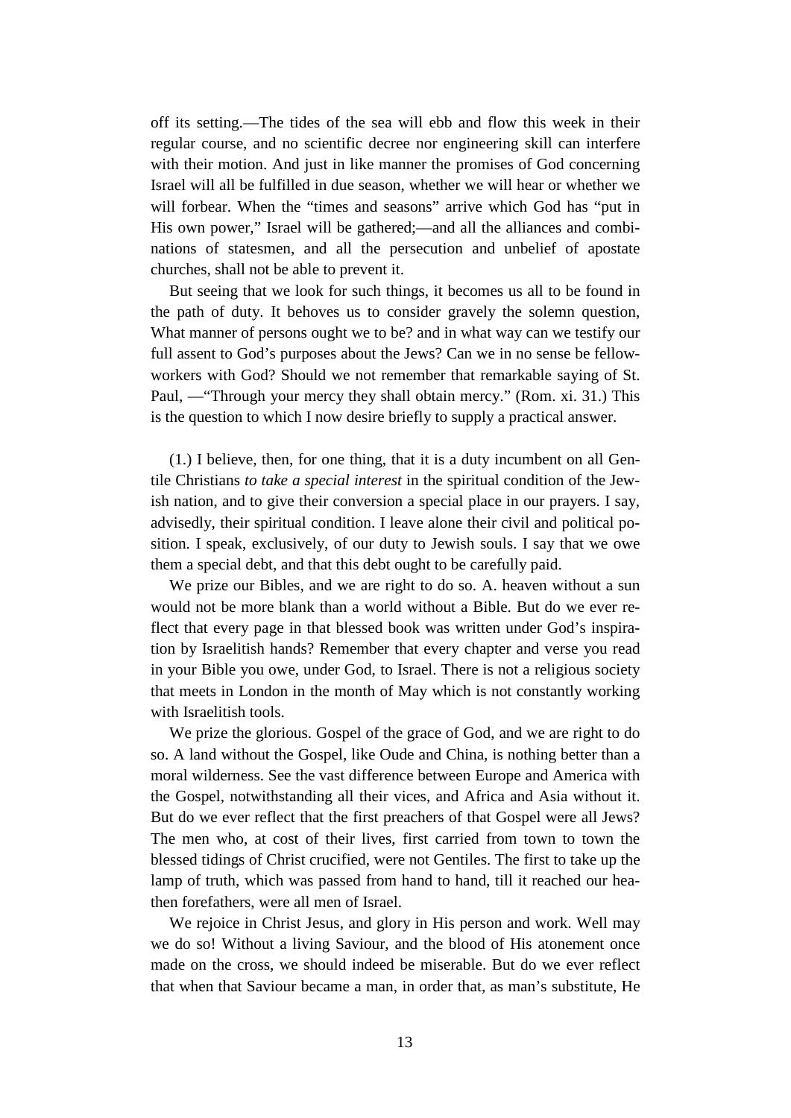off its setting.—The tides of the sea will ebb and flow this week in their regular course, and no scientific decree nor engineering skill can interfere with their motion. And just in like manner the promises of God concerning Israel will all be fulfilled in due season, whether we will hear or whether we will forbear. When the "times and seasons" arrive which God has "put in His own power," Israel will be gathered;—and all the alliances and combinations of statesmen, and all the persecution and unbelief of apostate churches, shall not be able to prevent it.

But seeing that we look for such things, it becomes us all to be found in the path of duty. It behoves us to consider gravely the solemn question, What manner of persons ought we to be? and in what way can we testify our full assent to God's purposes about the Jews? Can we in no sense be fellowworkers with God? Should we not remember that remarkable saying of St. Paul, —"Through your mercy they shall obtain mercy." (Rom. xi. 31.) This is the question to which I now desire briefly to supply a practical answer.

(1.) I believe, then, for one thing, that it is a duty incumbent on all Gentile Christians *to take a special interest* in the spiritual condition of the Jewish nation, and to give their conversion a special place in our prayers. I say, advisedly, their spiritual condition. I leave alone their civil and political position. I speak, exclusively, of our duty to Jewish souls. I say that we owe them a special debt, and that this debt ought to be carefully paid.

We prize our Bibles, and we are right to do so. A. heaven without a sun would not be more blank than a world without a Bible. But do we ever reflect that every page in that blessed book was written under God's inspiration by Israelitish hands? Remember that every chapter and verse you read in your Bible you owe, under God, to Israel. There is not a religious society that meets in London in the month of May which is not constantly working with Israelitish tools.

We prize the glorious. Gospel of the grace of God, and we are right to do so. A land without the Gospel, like Oude and China, is nothing better than a moral wilderness. See the vast difference between Europe and America with the Gospel, notwithstanding all their vices, and Africa and Asia without it. But do we ever reflect that the first preachers of that Gospel were all Jews? The men who, at cost of their lives, first carried from town to town the blessed tidings of Christ crucified, were not Gentiles. The first to take up the lamp of truth, which was passed from hand to hand, till it reached our heathen forefathers, were all men of Israel.

We rejoice in Christ Jesus, and glory in His person and work. Well may we do so! Without a living Saviour, and the blood of His atonement once made on the cross, we should indeed be miserable. But do we ever reflect that when that Saviour became a man, in order that, as man's substitute, He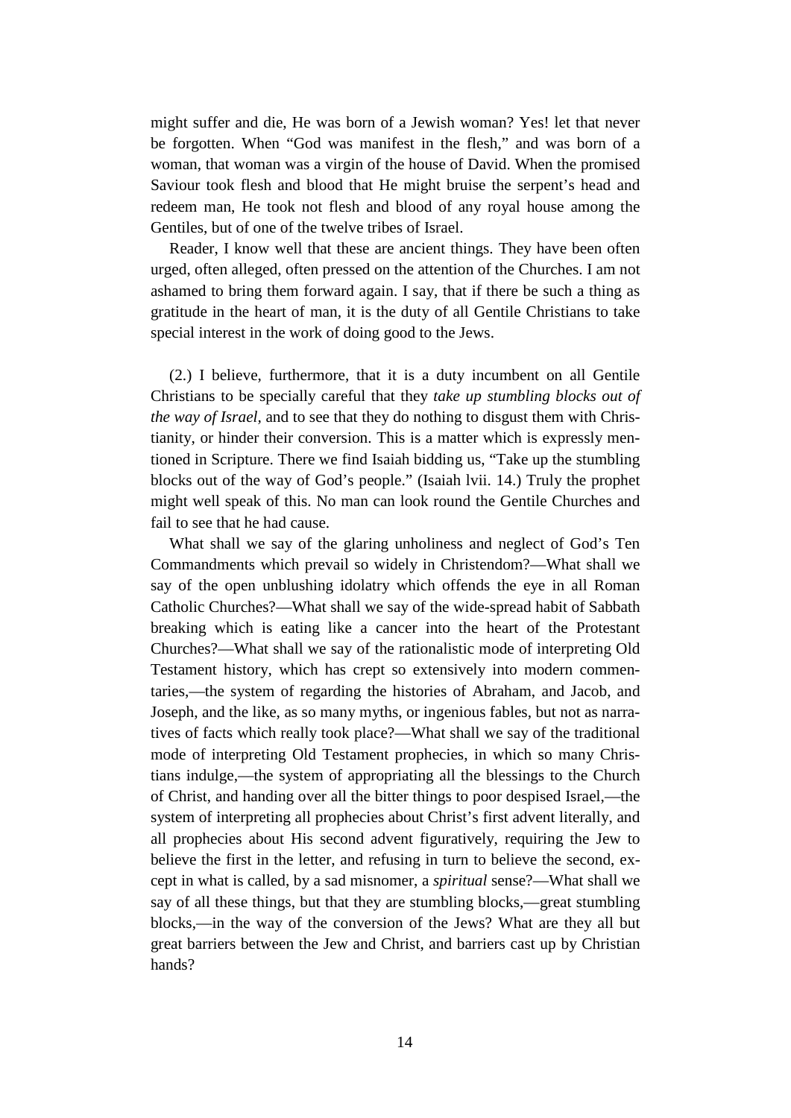might suffer and die, He was born of a Jewish woman? Yes! let that never be forgotten. When "God was manifest in the flesh," and was born of a woman, that woman was a virgin of the house of David. When the promised Saviour took flesh and blood that He might bruise the serpent's head and redeem man, He took not flesh and blood of any royal house among the Gentiles, but of one of the twelve tribes of Israel.

Reader, I know well that these are ancient things. They have been often urged, often alleged, often pressed on the attention of the Churches. I am not ashamed to bring them forward again. I say, that if there be such a thing as gratitude in the heart of man, it is the duty of all Gentile Christians to take special interest in the work of doing good to the Jews.

(2.) I believe, furthermore, that it is a duty incumbent on all Gentile Christians to be specially careful that they *take up stumbling blocks out of the way of Israel,* and to see that they do nothing to disgust them with Christianity, or hinder their conversion. This is a matter which is expressly mentioned in Scripture. There we find Isaiah bidding us, "Take up the stumbling blocks out of the way of God's people." (Isaiah lvii. 14.) Truly the prophet might well speak of this. No man can look round the Gentile Churches and fail to see that he had cause.

What shall we say of the glaring unholiness and neglect of God's Ten Commandments which prevail so widely in Christendom?—What shall we say of the open unblushing idolatry which offends the eye in all Roman Catholic Churches?—What shall we say of the wide-spread habit of Sabbath breaking which is eating like a cancer into the heart of the Protestant Churches?—What shall we say of the rationalistic mode of interpreting Old Testament history, which has crept so extensively into modern commentaries,—the system of regarding the histories of Abraham, and Jacob, and Joseph, and the like, as so many myths, or ingenious fables, but not as narratives of facts which really took place?—What shall we say of the traditional mode of interpreting Old Testament prophecies, in which so many Christians indulge,—the system of appropriating all the blessings to the Church of Christ, and handing over all the bitter things to poor despised Israel,—the system of interpreting all prophecies about Christ's first advent literally, and all prophecies about His second advent figuratively, requiring the Jew to believe the first in the letter, and refusing in turn to believe the second, except in what is called, by a sad misnomer, a *spiritual* sense?—What shall we say of all these things, but that they are stumbling blocks,—great stumbling blocks,—in the way of the conversion of the Jews? What are they all but great barriers between the Jew and Christ, and barriers cast up by Christian hands?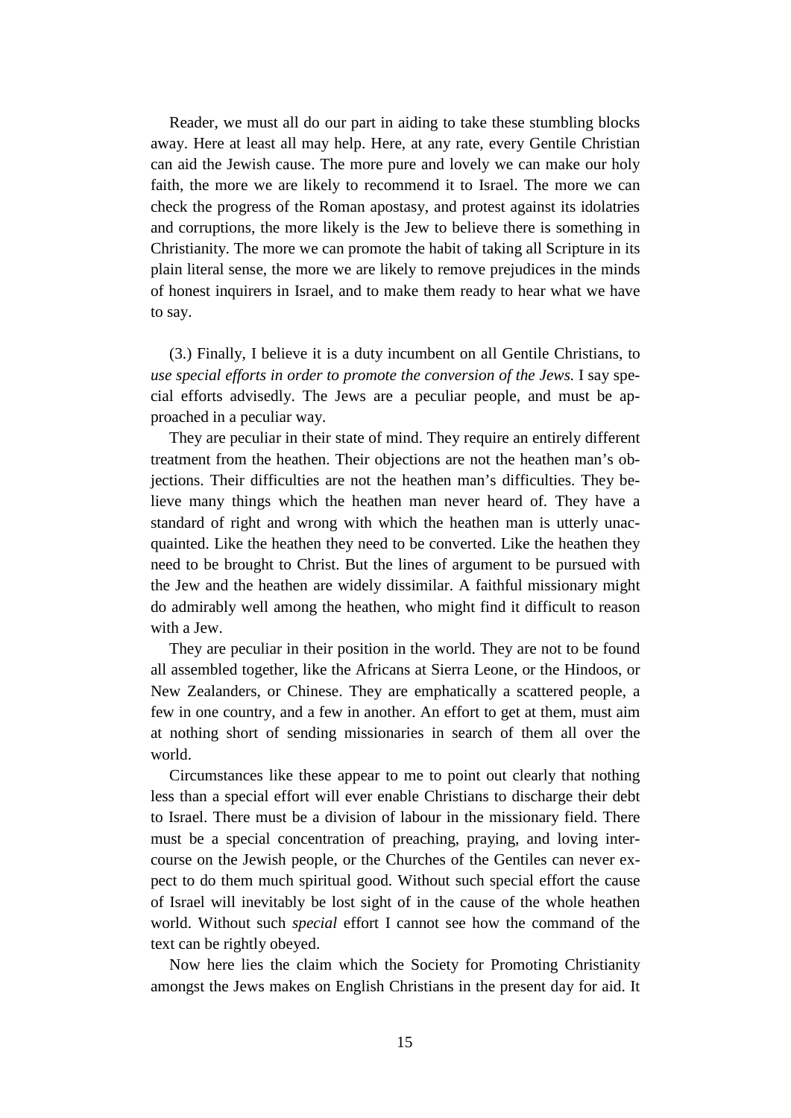Reader, we must all do our part in aiding to take these stumbling blocks away. Here at least all may help. Here, at any rate, every Gentile Christian can aid the Jewish cause. The more pure and lovely we can make our holy faith, the more we are likely to recommend it to Israel. The more we can check the progress of the Roman apostasy, and protest against its idolatries and corruptions, the more likely is the Jew to believe there is something in Christianity. The more we can promote the habit of taking all Scripture in its plain literal sense, the more we are likely to remove prejudices in the minds of honest inquirers in Israel, and to make them ready to hear what we have to say.

(3.) Finally, I believe it is a duty incumbent on all Gentile Christians, to *use special efforts in order to promote the conversion of the Jews.* I say special efforts advisedly. The Jews are a peculiar people, and must be approached in a peculiar way.

They are peculiar in their state of mind. They require an entirely different treatment from the heathen. Their objections are not the heathen man's objections. Their difficulties are not the heathen man's difficulties. They believe many things which the heathen man never heard of. They have a standard of right and wrong with which the heathen man is utterly unacquainted. Like the heathen they need to be converted. Like the heathen they need to be brought to Christ. But the lines of argument to be pursued with the Jew and the heathen are widely dissimilar. A faithful missionary might do admirably well among the heathen, who might find it difficult to reason with a Jew.

They are peculiar in their position in the world. They are not to be found all assembled together, like the Africans at Sierra Leone, or the Hindoos, or New Zealanders, or Chinese. They are emphatically a scattered people, a few in one country, and a few in another. An effort to get at them, must aim at nothing short of sending missionaries in search of them all over the world.

Circumstances like these appear to me to point out clearly that nothing less than a special effort will ever enable Christians to discharge their debt to Israel. There must be a division of labour in the missionary field. There must be a special concentration of preaching, praying, and loving intercourse on the Jewish people, or the Churches of the Gentiles can never expect to do them much spiritual good. Without such special effort the cause of Israel will inevitably be lost sight of in the cause of the whole heathen world. Without such *special* effort I cannot see how the command of the text can be rightly obeyed.

Now here lies the claim which the Society for Promoting Christianity amongst the Jews makes on English Christians in the present day for aid. It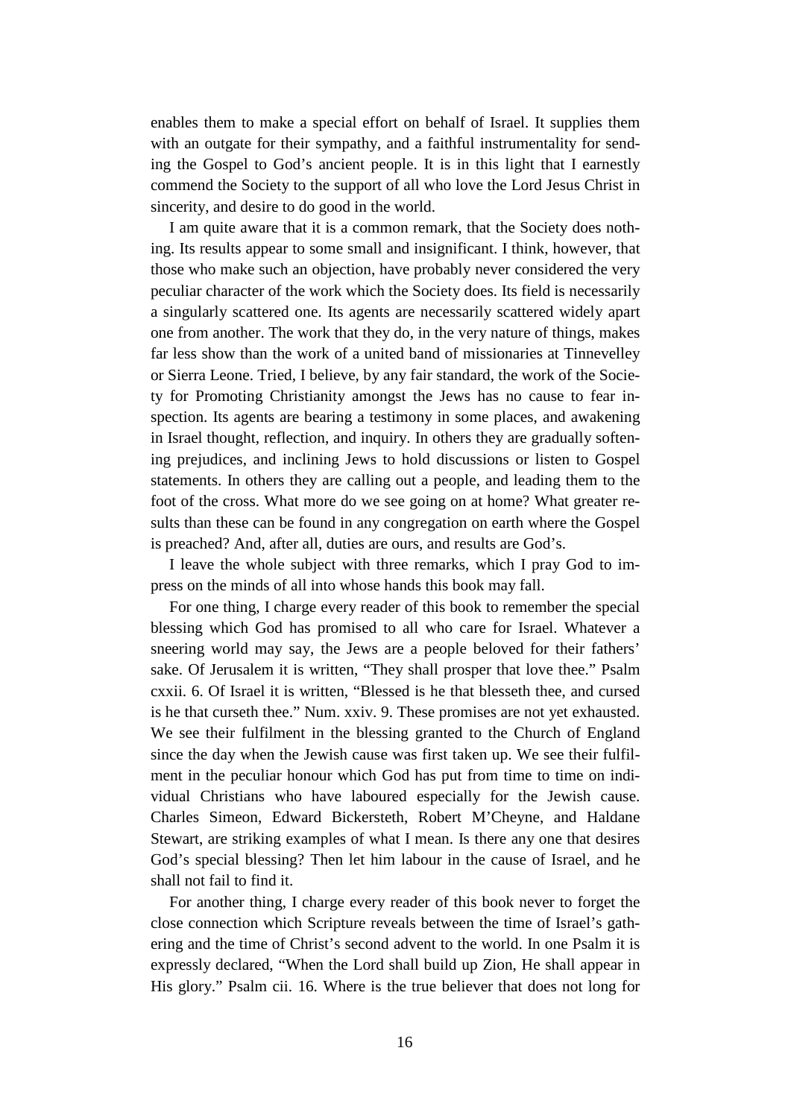enables them to make a special effort on behalf of Israel. It supplies them with an outgate for their sympathy, and a faithful instrumentality for sending the Gospel to God's ancient people. It is in this light that I earnestly commend the Society to the support of all who love the Lord Jesus Christ in sincerity, and desire to do good in the world.

I am quite aware that it is a common remark, that the Society does nothing. Its results appear to some small and insignificant. I think, however, that those who make such an objection, have probably never considered the very peculiar character of the work which the Society does. Its field is necessarily a singularly scattered one. Its agents are necessarily scattered widely apart one from another. The work that they do, in the very nature of things, makes far less show than the work of a united band of missionaries at Tinnevelley or Sierra Leone. Tried, I believe, by any fair standard, the work of the Society for Promoting Christianity amongst the Jews has no cause to fear inspection. Its agents are bearing a testimony in some places, and awakening in Israel thought, reflection, and inquiry. In others they are gradually softening prejudices, and inclining Jews to hold discussions or listen to Gospel statements. In others they are calling out a people, and leading them to the foot of the cross. What more do we see going on at home? What greater results than these can be found in any congregation on earth where the Gospel is preached? And, after all, duties are ours, and results are God's.

I leave the whole subject with three remarks, which I pray God to impress on the minds of all into whose hands this book may fall.

For one thing, I charge every reader of this book to remember the special blessing which God has promised to all who care for Israel. Whatever a sneering world may say, the Jews are a people beloved for their fathers' sake. Of Jerusalem it is written, "They shall prosper that love thee." Psalm cxxii. 6. Of Israel it is written, "Blessed is he that blesseth thee, and cursed is he that curseth thee." Num. xxiv. 9. These promises are not yet exhausted. We see their fulfilment in the blessing granted to the Church of England since the day when the Jewish cause was first taken up. We see their fulfilment in the peculiar honour which God has put from time to time on individual Christians who have laboured especially for the Jewish cause. Charles Simeon, Edward Bickersteth, Robert M'Cheyne, and Haldane Stewart, are striking examples of what I mean. Is there any one that desires God's special blessing? Then let him labour in the cause of Israel, and he shall not fail to find it.

For another thing, I charge every reader of this book never to forget the close connection which Scripture reveals between the time of Israel's gathering and the time of Christ's second advent to the world. In one Psalm it is expressly declared, "When the Lord shall build up Zion, He shall appear in His glory." Psalm cii. 16. Where is the true believer that does not long for